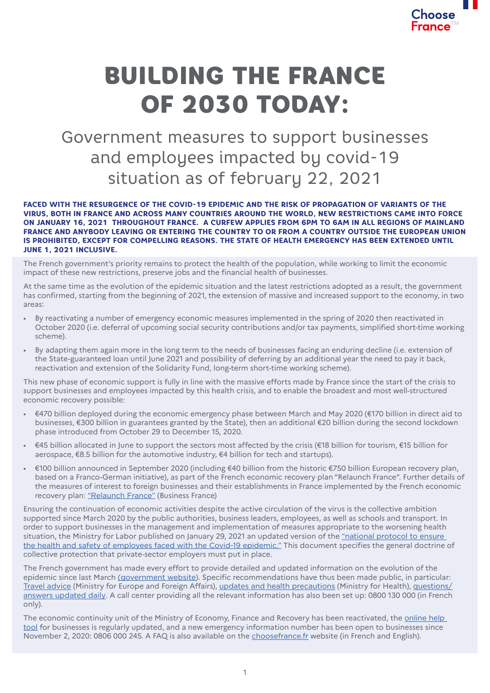

# BUILDING THE FRANCE OF 2030 TODAY:

# Government measures to support businesses and employees impacted by covid-19 situation as of february 22, 2021

#### FACED WITH THE RESURGENCE OF THE COVID-19 EPIDEMIC AND THE RISK OF PROPAGATION OF VARIANTS OF THE VIRUS, BOTH IN FRANCE AND ACROSS MANY COUNTRIES AROUND THE WORLD, NEW RESTRICTIONS CAME INTO FORCE ON JANUARY 16, 2021 THROUGHOUT FRANCE. A CURFEW APPLIES FROM 6PM TO 6AM IN ALL REGIONS OF MAINLAND FRANCE AND ANYBODY LEAVING OR ENTERING THE COUNTRY TO OR FROM A COUNTRY OUTSIDE THE EUROPEAN UNION IS PROHIBITED, EXCEPT FOR COMPELLING REASONS. THE STATE OF HEALTH EMERGENCY HAS BEEN EXTENDED UNTIL JUNE 1, 2021 INCLUSIVE.

The French government's priority remains to protect the health of the population, while working to limit the economic impact of these new restrictions, preserve jobs and the financial health of businesses.

At the same time as the evolution of the epidemic situation and the latest restrictions adopted as a result, the government has confirmed, starting from the beginning of 2021, the extension of massive and increased support to the economy, in two areas:

- By reactivating a number of emergency economic measures implemented in the spring of 2020 then reactivated in October 2020 (i.e. deferral of upcoming social security contributions and/or tax payments, simplified short-time working scheme).
- By adapting them again more in the long term to the needs of businesses facing an enduring decline (i.e. extension of the State-guaranteed loan until June 2021 and possibility of deferring by an additional year the need to pay it back, reactivation and extension of the Solidarity Fund, long-term short-time working scheme).

This new phase of economic support is fully in line with the massive efforts made by France since the start of the crisis to support businesses and employees impacted by this health crisis, and to enable the broadest and most well-structured economic recovery possible:

- €470 billion deployed during the economic emergency phase between March and May 2020 (€170 billion in direct aid to businesses, €300 billion in guarantees granted by the State), then an additional €20 billion during the second lockdown phase introduced from October 29 to December 15, 2020.
- €45 billion allocated in June to support the sectors most affected by the crisis (€18 billion for tourism, €15 billion for aerospace, €8.5 billion for the automotive industry, €4 billion for tech and startups).
- €100 billion announced in September 2020 (including €40 billion from the historic €750 billion European recovery plan, based on a Franco-German initiative), as part of the French economic recovery plan "Relaunch France". Further details of the measures of interest to foreign businesses and their establishments in France implemented by the French economic recovery plan: ["Relaunch France"](https://investinfrance.fr/wp-content/uploads/2017/08/Plan-Relance-fiche-ENGLISH.pdf) (Business France)

Ensuring the continuation of economic activities despite the active circulation of the virus is the collective ambition supported since March 2020 by the public authorities, business leaders, employees, as well as schools and transport. In order to support businesses in the management and implementation of measures appropriate to the worsening health situation, the Ministry for Labor published on January 29, 2021 an updated version of the ["national protocol to ensure](https://travail-emploi.gouv.fr/IMG/pdf/protocole-national-sante-securite-en-entreprise.pdf)  [the health and safety of employees faced with the Covid-19 epidemic."](https://travail-emploi.gouv.fr/IMG/pdf/protocole-national-sante-securite-en-entreprise.pdf) This document specifies the general doctrine of collective protection that private-sector employers must put in place.

The French government has made every effort to provide detailed and updated information on the evolution of the epidemic since last March [\(government website](https://www.gouvernement.fr/info-coronavirus)). Specific recommendations have thus been made public, in particular: [Travel advice](https://www.diplomatie.gouv.fr/fr/conseils-aux-voyageurs/) (Ministry for Europe and Foreign Affairs), [updates and health precautions](https://solidarites-sante.gouv.fr/) (Ministry for Health), [questions/](https://www.gouvernement.fr/info-coronavirus) [answers updated daily](https://www.gouvernement.fr/info-coronavirus). A call center providing all the relevant information has also been set up: 0800 130 000 (in French only).

The economic continuity unit of the Ministry of Economy, Finance and Recovery has been reactivated, the online help [tool](https://info-entreprises-covid19.economie.gouv.fr/kb/fr/) for businesses is regularly updated, and a new emergency information number has been open to businesses since November 2, 2020: 0806 000 245. A FAQ is also available on the [choosefrance.fr](https://www.plateforme-attractivite.com/sommaire-choose-france/) website (in French and English).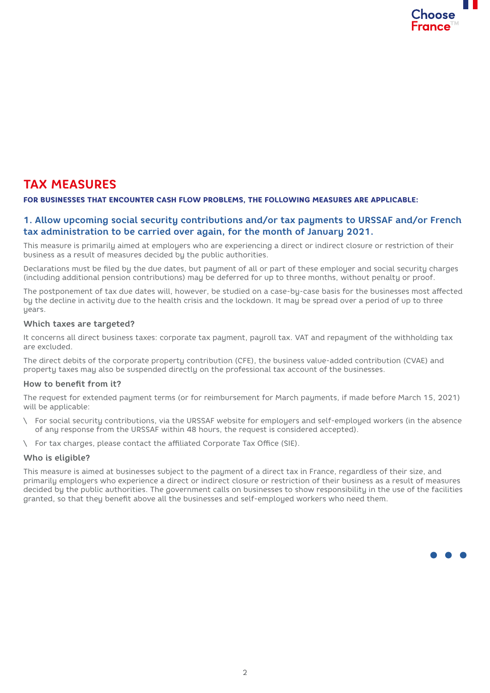

### **TAX MEASURES**

### FOR BUSINESSES THAT ENCOUNTER CASH FLOW PROBLEMS, THE FOLLOWING MEASURES ARE APPLICABLE:

### **1. Allow upcoming social security contributions and/or tax payments to URSSAF and/or French tax administration to be carried over again, for the month of January 2021.**

This measure is primarily aimed at employers who are experiencing a direct or indirect closure or restriction of their business as a result of measures decided by the public authorities.

Declarations must be filed by the due dates, but payment of all or part of these employer and social security charges (including additional pension contributions) may be deferred for up to three months, without penalty or proof.

The postponement of tax due dates will, however, be studied on a case-by-case basis for the businesses most affected by the decline in activity due to the health crisis and the lockdown. It may be spread over a period of up to three years.

#### **Which taxes are targeted?**

It concerns all direct business taxes: corporate tax payment, payroll tax. VAT and repayment of the withholding tax are excluded.

The direct debits of the corporate property contribution (CFE), the business value-added contribution (CVAE) and property taxes may also be suspended directly on the professional tax account of the businesses.

#### **How to benefit from it?**

The request for extended payment terms (or for reimbursement for March payments, if made before March 15, 2021) will be applicable:

- \ For social security contributions, via the URSSAF website for employers and self-employed workers (in the absence of any response from the URSSAF within 48 hours, the request is considered accepted).
- \ For tax charges, please contact the affiliated Corporate Tax Office (SIE).

#### **Who is eligible?**

This measure is aimed at businesses subject to the payment of a direct tax in France, regardless of their size, and primarily employers who experience a direct or indirect closure or restriction of their business as a result of measures decided by the public authorities. The government calls on businesses to show responsibility in the use of the facilities granted, so that they benefit above all the businesses and self-employed workers who need them.

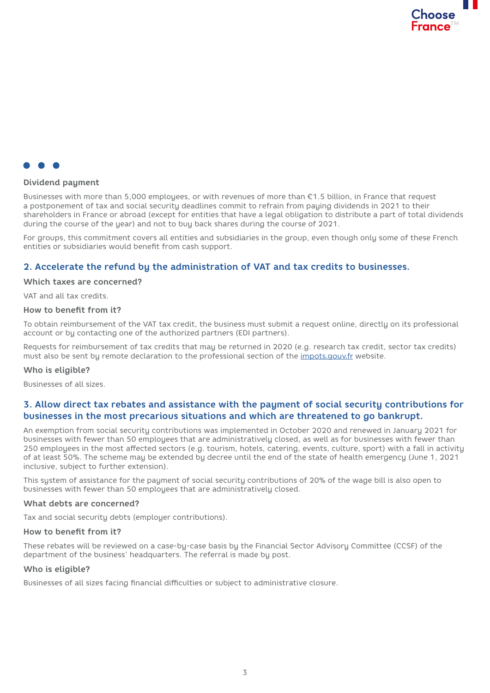



### **Dividend payment**

Businesses with more than 5,000 employees, or with revenues of more than €1.5 billion, in France that request a postponement of tax and social security deadlines commit to refrain from paying dividends in 2021 to their shareholders in France or abroad (except for entities that have a legal obligation to distribute a part of total dividends during the course of the year) and not to buy back shares during the course of 2021.

For groups, this commitment covers all entities and subsidiaries in the group, even though only some of these French entities or subsidiaries would benefit from cash support.

### **2. Accelerate the refund by the administration of VAT and tax credits to businesses.**

### **Which taxes are concerned?**

VAT and all tax credits.

### **How to benefit from it?**

To obtain reimbursement of the VAT tax credit, the business must submit a request online, directly on its professional account or by contacting one of the authorized partners (EDI partners).

Requests for reimbursement of tax credits that may be returned in 2020 (e.g. research tax credit, sector tax credits) must also be sent by remote declaration to the professional section of the <impots.gouv.fr> website.

### **Who is eligible?**

Businesses of all sizes.

### **3. Allow direct tax rebates and assistance with the payment of social security contributions for businesses in the most precarious situations and which are threatened to go bankrupt.**

An exemption from social security contributions was implemented in October 2020 and renewed in January 2021 for businesses with fewer than 50 employees that are administratively closed, as well as for businesses with fewer than 250 employees in the most affected sectors (e.g. tourism, hotels, catering, events, culture, sport) with a fall in activity of at least 50%. The scheme may be extended by decree until the end of the state of health emergency (June 1, 2021 inclusive, subject to further extension).

This system of assistance for the payment of social security contributions of 20% of the wage bill is also open to businesses with fewer than 50 employees that are administratively closed.

### **What debts are concerned?**

Tax and social security debts (employer contributions).

### **How to benefit from it?**

These rebates will be reviewed on a case-by-case basis by the Financial Sector Advisory Committee (CCSF) of the department of the business' headquarters. The referral is made by post.

### **Who is eligible?**

Businesses of all sizes facing financial difficulties or subject to administrative closure.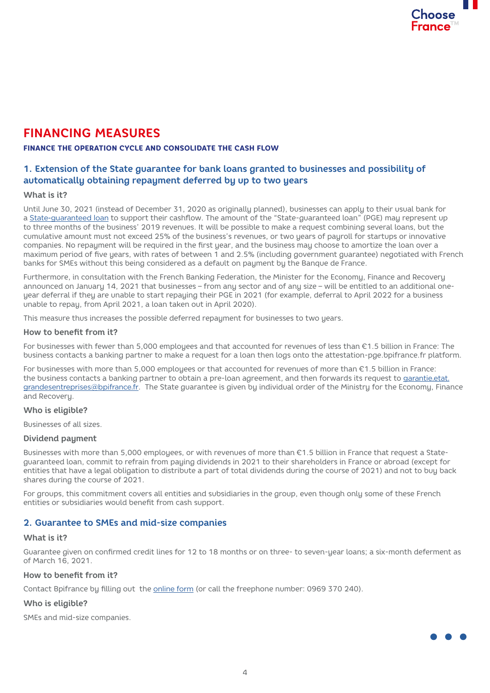# **FINANCING MEASURES**

### FINANCE THE OPERATION CYCLE AND CONSOLIDATE THE CASH FLOW

### **1. Extension of the State guarantee for bank loans granted to businesses and possibility of automatically obtaining repayment deferred by up to two years**

### **What is it?**

Until June 30, 2021 (instead of December 31, 2020 as originally planned), businesses can apply to their usual bank for a [State-guaranteed loan](https://www.economie.gouv.fr/files/files/PDF/2020/dp-covid-pret-garanti.pdf) to support their cashflow. The amount of the "State-guaranteed loan" (PGE) may represent up to three months of the business' 2019 revenues. It will be possible to make a request combining several loans, but the cumulative amount must not exceed 25% of the business's revenues, or two years of payroll for startups or innovative companies. No repayment will be required in the first year, and the business may choose to amortize the loan over a maximum period of five years, with rates of between 1 and 2.5% (including government guarantee) negotiated with French banks for SMEs without this being considered as a default on payment by the Banque de France.

Furthermore, in consultation with the French Banking Federation, the Minister for the Economy, Finance and Recovery announced on January 14, 2021 that businesses – from any sector and of any size – will be entitled to an additional oneyear deferral if they are unable to start repaying their PGE in 2021 (for example, deferral to April 2022 for a business unable to repay, from April 2021, a loan taken out in April 2020).

This measure thus increases the possible deferred repayment for businesses to two years.

### **How to benefit from it?**

For businesses with fewer than 5,000 employees and that accounted for revenues of less than €1.5 billion in France: The business contacts a banking partner to make a request for a loan then logs onto the attestation-pge.bpifrance.fr platform.

For businesses with more than 5,000 employees or that accounted for revenues of more than €1.5 billion in France: the business contacts a banking partner to obtain a pre-loan agreement, and then forwards its request to [garantie.etat.](mailto:garantie.etat.grandesentreprises%40bpifrance.fr?subject=) [grandesentreprises@bpifrance.fr](mailto:garantie.etat.grandesentreprises%40bpifrance.fr?subject=). The State guarantee is given by individual order of the Ministry for the Economy, Finance and Recovery.

### **Who is eligible?**

Businesses of all sizes.

### **Dividend payment**

Businesses with more than 5,000 employees, or with revenues of more than €1.5 billion in France that request a Stateguaranteed loan, commit to refrain from paying dividends in 2021 to their shareholders in France or abroad (except for entities that have a legal obligation to distribute a part of total dividends during the course of 2021) and not to buy back shares during the course of 2021.

For groups, this commitment covers all entities and subsidiaries in the group, even though only some of these French entities or subsidiaries would benefit from cash support.

### **2. Guarantee to SMEs and mid-size companies**

### **What is it?**

Guarantee given on confirmed credit lines for 12 to 18 months or on three- to seven-year loans; a six-month deferment as of March 16, 2021.

### **How to benefit from it?**

Contact Bpifrance by filling out the [online form](https://mon.bpifrance.fr/authentication/?TAM_OP=login&ERROR_CODE=0x00000000&URL=%2Fmon-espace%2F#/formulaire/soutienauxentreprises) (or call the freephone number: 0969 370 240).

### **Who is eligible?**

SMEs and mid-size companies.

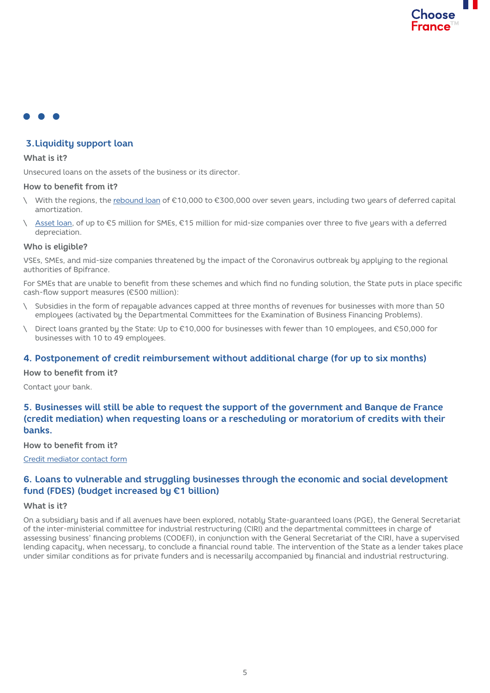

### . . .

### **3.Liquidity support loan**

### **What is it?**

Unsecured loans on the assets of the business or its director.

#### **How to benefit from it?**

- \ With the regions, the [rebound loan](https://www.bpifrance.fr/Toutes-nos-solutions/Prets/Prets-regionaux/Pret-Rebond) of €10,000 to €300,000 over seven years, including two years of deferred capital amortization.
- [Asset loan](https://www.bpifrance.fr/Toutes-nos-solutions/Prets/Prets-sans-garantie/Pret-Atout), of up to €5 million for SMEs, €15 million for mid-size companies over three to five years with a deferred depreciation.

#### **Who is eligible?**

VSEs, SMEs, and mid-size companies threatened by the impact of the Coronavirus outbreak by applying to the regional authorities of Bpifrance.

For SMEs that are unable to benefit from these schemes and which find no funding solution, the State puts in place specific cash-flow support measures (€500 million):

- Subsidies in the form of repayable advances capped at three months of revenues for businesses with more than 50 employees (activated by the Departmental Committees for the Examination of Business Financing Problems).
- \ Direct loans granted by the State: Up to €10,000 for businesses with fewer than 10 employees, and €50,000 for businesses with 10 to 49 employees.

### **4. Postponement of credit reimbursement without additional charge (for up to six months)**

**How to benefit from it?** 

Contact your bank.

### **5. Businesses will still be able to request the support of the government and Banque de France (credit mediation) when requesting loans or a rescheduling or moratorium of credits with their banks.**

**How to benefit from it?**

[Credit mediator contact form](https://mediateur-credit.banque-france.fr/contactez-nous_mediation_credit)

### **6. Loans to vulnerable and struggling businesses through the economic and social development fund (FDES) (budget increased by €1 billion)**

### **What is it?**

On a subsidiary basis and if all avenues have been explored, notably State-guaranteed loans (PGE), the General Secretariat of the inter-ministerial committee for industrial restructuring (CIRI) and the departmental committees in charge of assessing business' financing problems (CODEFI), in conjunction with the General Secretariat of the CIRI, have a supervised lending capacity, when necessary, to conclude a financial round table. The intervention of the State as a lender takes place under similar conditions as for private funders and is necessarily accompanied by financial and industrial restructuring.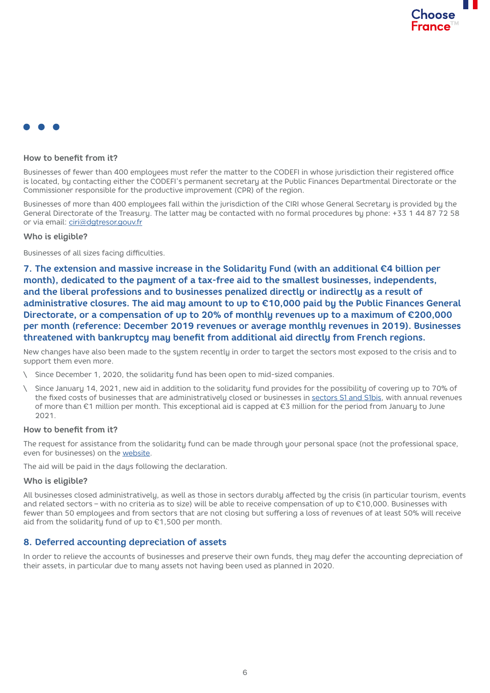### **How to benefit from it?**

Businesses of fewer than 400 employees must refer the matter to the CODEFI in whose jurisdiction their registered office is located, by contacting either the CODEFI's permanent secretary at the Public Finances Departmental Directorate or the Commissioner responsible for the productive improvement (CPR) of the region.

Businesses of more than 400 employees fall within the jurisdiction of the CIRI whose General Secretary is provided by the General Directorate of the Treasury. The latter may be contacted with no formal procedures by phone: +33 1 44 87 72 58 or via email: [ciri@dgtresor.gouv.fr](mailto:ciri%40dgtresor.gouv.fr?subject=)

### **Who is eligible?**

Businesses of all sizes facing difficulties.

**7. The extension and massive increase in the Solidarity Fund (with an additional €4 billion per month), dedicated to the payment of a tax-free aid to the smallest businesses, independents, and the liberal professions and to businesses penalized directly or indirectly as a result of administrative closures. The aid may amount to up to €10,000 paid by the Public Finances General Directorate, or a compensation of up to 20% of monthly revenues up to a maximum of €200,000 per month (reference: December 2019 revenues or average monthly revenues in 2019). Businesses threatened with bankruptcy may benefit from additional aid directly from French regions.**

New changes have also been made to the system recently in order to target the sectors most exposed to the crisis and to support them even more.

- \ Since December 1, 2020, the solidarity fund has been open to mid-sized companies.
- \ Since January 14, 2021, new aid in addition to the solidarity fund provides for the possibility of covering up to 70% of the fixed costs of businesses that are administratively closed or businesses in [sectors S1 and S1bis](https://www.economie.gouv.fr/files/files/directions_services/covid19-soutien-entreprises/listes-S1-et-S1bis-1.pdf), with annual revenues of more than €1 million per month. This exceptional aid is capped at €3 million for the period from January to June 2021.

### **How to benefit from it?**

The request for assistance from the solidarity fund can be made through your personal space (not the professional space, even for businesses) on the [website](https://www.impots.gouv.fr/portail/fond-solidarite-professionnel-covid).

The aid will be paid in the days following the declaration.

### **Who is eligible?**

All businesses closed administratively, as well as those in sectors durably affected by the crisis (in particular tourism, events and related sectors – with no criteria as to size) will be able to receive compensation of up to €10,000. Businesses with fewer than 50 employees and from sectors that are not closing but suffering a loss of revenues of at least 50% will receive aid from the solidarity fund of up to €1,500 per month.

### **8. Deferred accounting depreciation of assets**

In order to relieve the accounts of businesses and preserve their own funds, they may defer the accounting depreciation of their assets, in particular due to many assets not having been used as planned in 2020.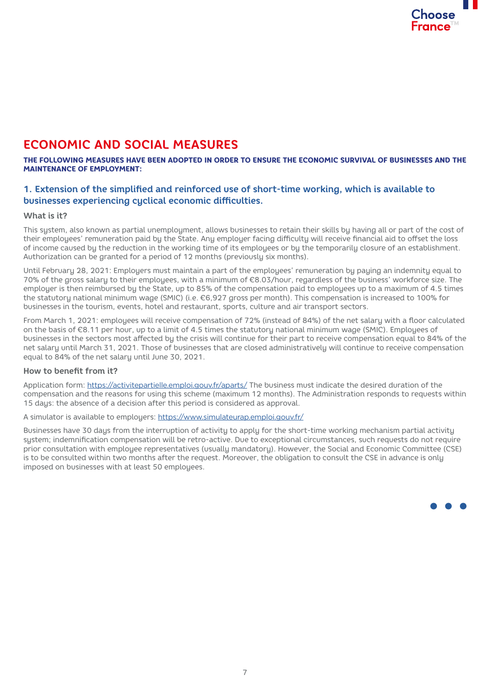# **ECONOMIC AND SOCIAL MEASURES**

### THE FOLLOWING MEASURES HAVE BEEN ADOPTED IN ORDER TO ENSURE THE ECONOMIC SURVIVAL OF BUSINESSES AND THE MAINTFNANCE OF EMPLOYMENT.

### **1. Extension of the simplified and reinforced use of short-time working, which is available to businesses experiencing cyclical economic difficulties.**

### **What is it?**

This system, also known as partial unemployment, allows businesses to retain their skills by having all or part of the cost of their employees' remuneration paid by the State. Any employer facing difficulty will receive financial aid to offset the loss of income caused by the reduction in the working time of its employees or by the temporarily closure of an establishment. Authorization can be granted for a period of 12 months (previously six months).

Until February 28, 2021: Employers must maintain a part of the employees' remuneration by paying an indemnity equal to 70% of the gross salaru to their emplouees, with a minimum of €8.03/hour, regardless of the business' workforce size. The employer is then reimbursed by the State, up to 85% of the compensation paid to employees up to a maximum of 4.5 times the statutory national minimum wage (SMIC) (i.e. €6,927 gross per month). This compensation is increased to 100% for businesses in the tourism, events, hotel and restaurant, sports, culture and air transport sectors.

From March 1, 2021: employees will receive compensation of 72% (instead of 84%) of the net salary with a floor calculated on the basis of €8.11 per hour, up to a limit of 4.5 times the statutory national minimum wage (SMIC). Employees of businesses in the sectors most affected by the crisis will continue for their part to receive compensation equal to 84% of the net salary until March 31, 2021. Those of businesses that are closed administratively will continue to receive compensation equal to 84% of the net salary until June 30, 2021.

### **How to benefit from it?**

Application form: <https://activitepartielle.emploi.gouv.fr/aparts/> The business must indicate the desired duration of the compensation and the reasons for using this scheme (maximum 12 months). The Administration responds to requests within 15 days: the absence of a decision after this period is considered as approval.

A simulator is available to employers: <https://www.simulateurap.emploi.gouv.fr/>

Businesses have 30 days from the interruption of activity to apply for the short-time working mechanism partial activity system; indemnification compensation will be retro-active. Due to exceptional circumstances, such requests do not require prior consultation with employee representatives (usually mandatory). However, the Social and Economic Committee (CSE) is to be consulted within two months after the request. Moreover, the obligation to consult the CSE in advance is only imposed on businesses with at least 50 employees.

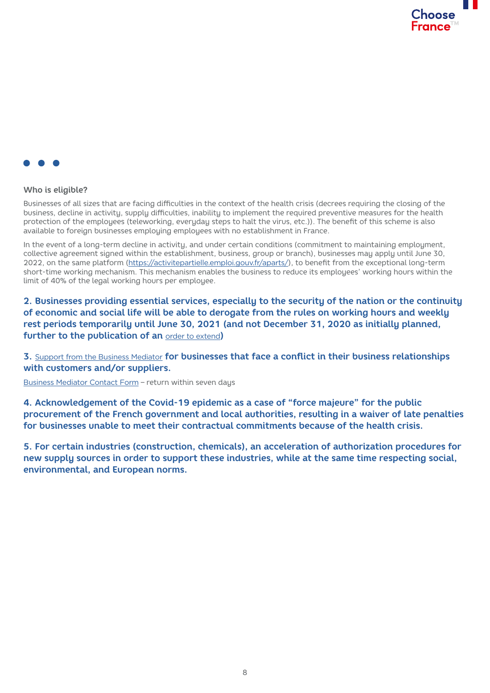



### **Who is eligible?**

Businesses of all sizes that are facing difficulties in the context of the health crisis (decrees requiring the closing of the business, decline in activity, supply difficulties, inability to implement the required preventive measures for the health protection of the employees (teleworking, everyday steps to halt the virus, etc.)). The benefit of this scheme is also available to foreign businesses emplouing employees with no establishment in France.

In the event of a long-term decline in activity, and under certain conditions (commitment to maintaining employment, collective agreement signed within the establishment, business, group or branch), businesses may apply until June 30, 2022, on the same platform (<https://activitepartielle.emploi.gouv.fr/aparts/>), to benefit from the exceptional long-term short-time working mechanism. This mechanism enables the business to reduce its employees' working hours within the limit of 40% of the legal working hours per employee.

**2. Businesses providing essential services, especially to the security of the nation or the continuity of economic and social life will be able to derogate from the rules on working hours and weekly rest periods temporarily until June 30, 2021 (and not December 31, 2020 as initially planned, further to the publication of an** [order to extend](https://www.legifrance.gouv.fr/jorf/id/JORFTEXT000042677355)**)**

**3.** [Support from the Business Mediator](https://www.economie.gouv.fr/mediateur-des-entreprises) **for businesses that face a conflict in their business relationships with customers and/or suppliers.**

[Business Mediator Contact Form](https://www.economie.gouv.fr/mediateur-des-entreprises/contactez-mediateur-des-entreprises) – return within seven days

**4. Acknowledgement of the Covid-19 epidemic as a case of "force majeure" for the public procurement of the French government and local authorities, resulting in a waiver of late penalties for businesses unable to meet their contractual commitments because of the health crisis.**

**5. For certain industries (construction, chemicals), an acceleration of authorization procedures for new supply sources in order to support these industries, while at the same time respecting social, environmental, and European norms.**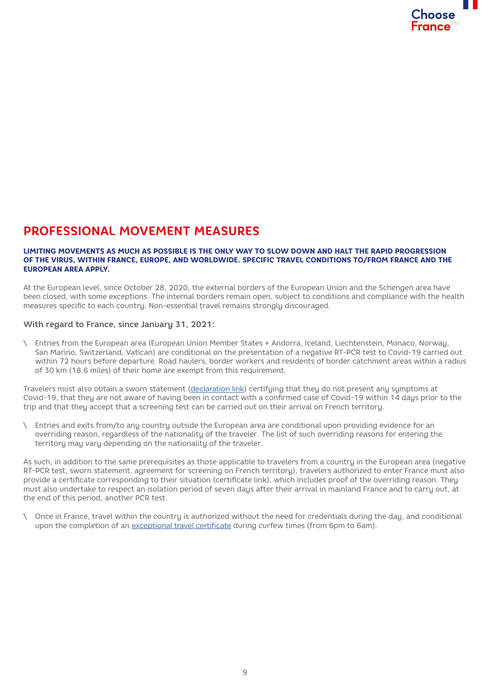

## **PROFESSIONAL MOVEMENT MEASURES**

#### LIMITING MOVEMENTS AS MUCH AS POSSIBLE IS THE ONLY WAY TO SLOW DOWN AND HALT THE RAPID PROGRESSION OF THE VIRUS, WITHIN FRANCE, EUROPE, AND WORLDWIDE. SPECIFIC TRAVEL CONDITIONS TO/FROM FRANCE AND THE EUROPEAN AREA APPLY.

At the European level, since October 28, 2020, the external borders of the European Union and the Schengen area have been closed, with some exceptions. The internal borders remain open, subject to conditions and compliance with the health measures specific to each country. Non-essential travel remains strongly discouraged.

### **With regard to France, since January 31, 2021:**

\ Entries from the European area (European Union Member States + Andorra, Iceland, Liechtenstein, Monaco, Norway, San Marino, Switzerland, Vatican) are conditional on the presentation of a negative RT-PCR test to Covid-19 carried out within 72 hours before departure. Road haulers, border workers and residents of border catchment areas within a radius of 30 km (18.6 miles) of their home are exempt from this requirement.

Travelers must also obtain a sworn statement ([declaration link](https://www.interieur.gouv.fr/Actualites/L-actu-du-Ministere/Attestation-de-deplacement-et-de-voyage)) certifuing that they do not present any symptoms at Covid-19, that they are not aware of having been in contact with a confirmed case of Covid-19 within 14 days prior to the trip and that they accept that a screening test can be carried out on their arrival on French territory.

\ Entries and exits from/to any country outside the European area are conditional upon providing evidence for an overriding reason, regardless of the nationality of the traveler. The list of such overriding reasons for entering the territory may vary depending on the nationality of the traveler.

As such, in addition to the same prerequisites as those applicable to travelers from a country in the European area (negative RT-PCR test, sworn statement, agreement for screening on French territory), travelers authorized to enter France must also provide a certificate corresponding to their situation (certificate link), which includes proof of the overriding reason. They must also undertake to respect an isolation period of seven days after their arrival in mainland France and to carry out, at the end of this period, another PCR test.

\ Once in France, travel within the country is authorized without the need for credentials during the day, and conditional upon the completion of an [exceptional travel certificate](https://www.interieur.gouv.fr/Actualites/L-actu-du-Ministere/Attestations-de-deplacement-couvre-feu) during curfew times (from 6pm to 6am).